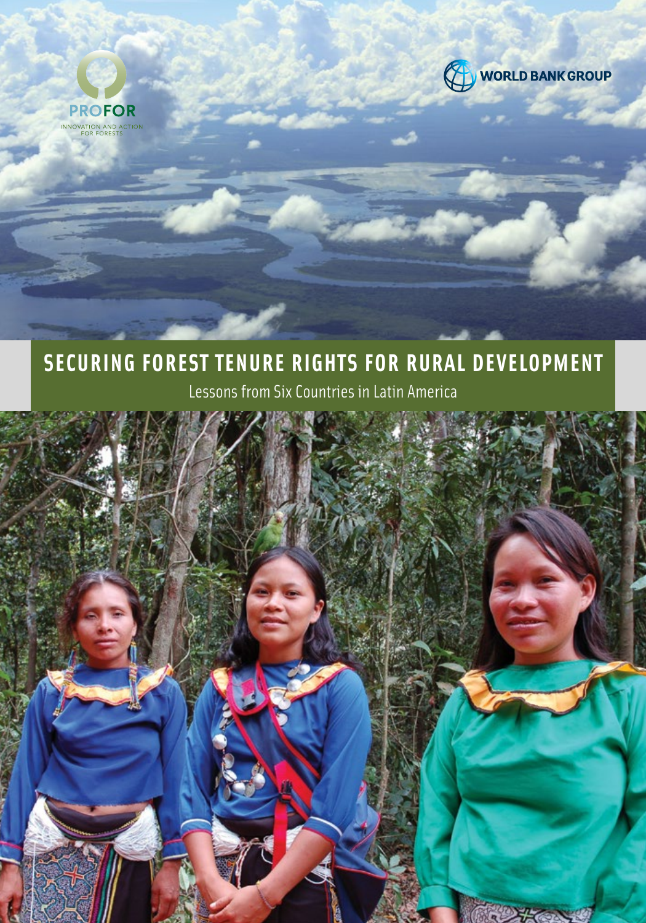



### **SECURING FOREST TENURE RIGHTS FOR RURAL DEVELOPMENT**

Lessons from Six Countries in Latin America

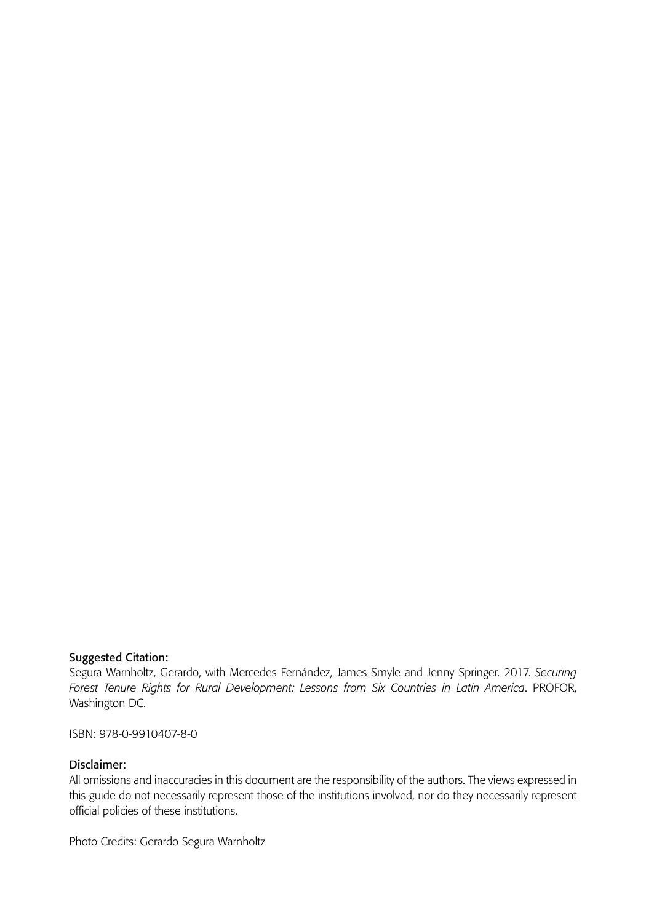#### Suggested Citation:

Segura Warnholtz, Gerardo, with Mercedes Fernández, James Smyle and Jenny Springer. 2017. *Securing Forest Tenure Rights for Rural Development: Lessons from Six Countries in Latin America*. PROFOR, Washington DC.

ISBN: 978-0-9910407-8-0

#### Disclaimer:

All omissions and inaccuracies in this document are the responsibility of the authors. The views expressed in this guide do not necessarily represent those of the institutions involved, nor do they necessarily represent official policies of these institutions.

Photo Credits: Gerardo Segura Warnholtz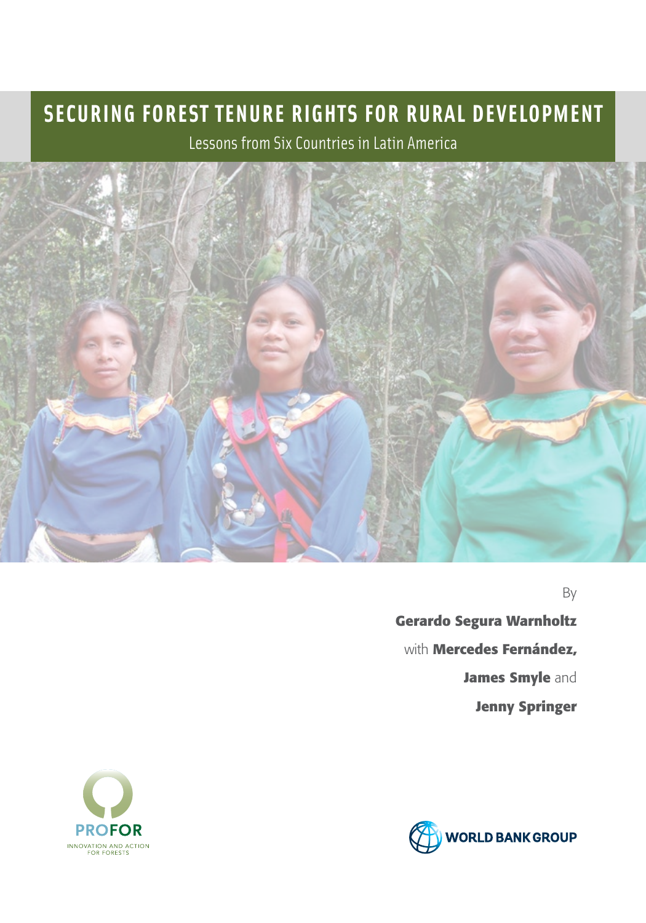### **SECURING FOREST TENURE RIGHTS FOR RURAL DEVELOPMENT**

Lessons from Six Countries in Latin America



By

 **Gerardo Segura Warnholtz** with **Mercedes Fernández, James Smyle** and **Jenny Springer**



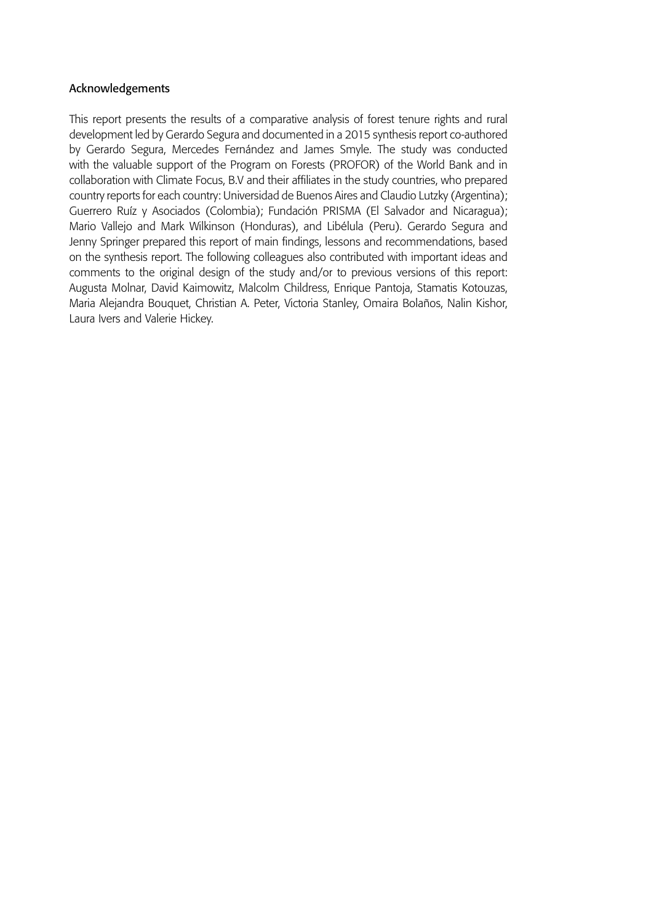#### Acknowledgements

This report presents the results of a comparative analysis of forest tenure rights and rural development led by Gerardo Segura and documented in a 2015 synthesis report co-authored by Gerardo Segura, Mercedes Fernández and James Smyle. The study was conducted with the valuable support of the Program on Forests (PROFOR) of the World Bank and in collaboration with Climate Focus, B.V and their affiliates in the study countries, who prepared country reports for each country: Universidad de Buenos Aires and Claudio Lutzky (Argentina); Guerrero Ruíz y Asociados (Colombia); Fundación PRISMA (El Salvador and Nicaragua); Mario Vallejo and Mark Wilkinson (Honduras), and Libélula (Peru). Gerardo Segura and Jenny Springer prepared this report of main findings, lessons and recommendations, based on the synthesis report. The following colleagues also contributed with important ideas and comments to the original design of the study and/or to previous versions of this report: Augusta Molnar, David Kaimowitz, Malcolm Childress, Enrique Pantoja, Stamatis Kotouzas, Maria Alejandra Bouquet, Christian A. Peter, Victoria Stanley, Omaira Bolaños, Nalin Kishor, Laura Ivers and Valerie Hickey.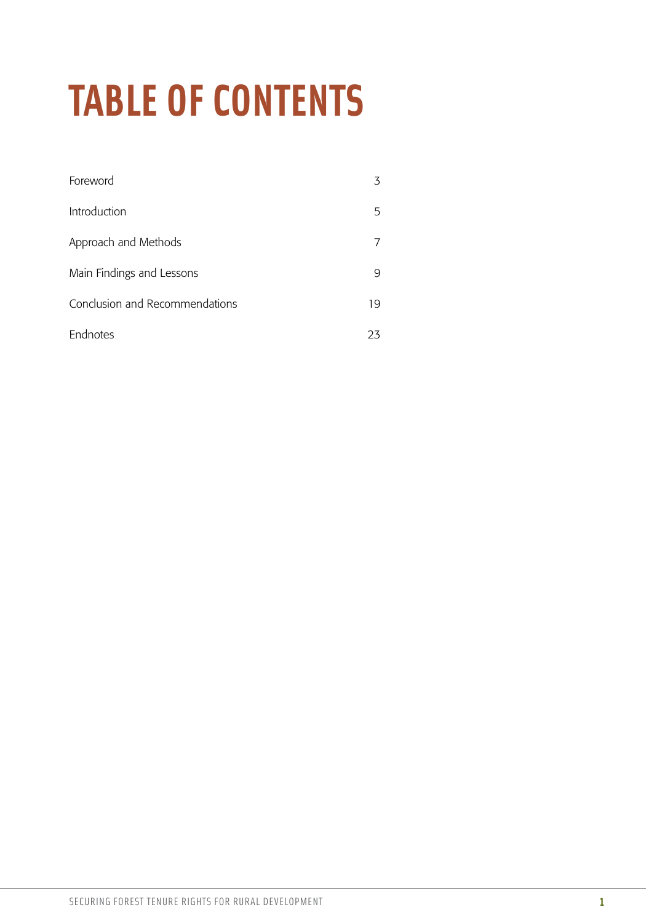# **TABLE OF CONTENTS**

| Foreword                       |    |
|--------------------------------|----|
| Introduction                   | 5  |
| Approach and Methods           |    |
| Main Findings and Lessons      | 9  |
| Conclusion and Recommendations | 19 |
| <b>Endnotes</b>                | 23 |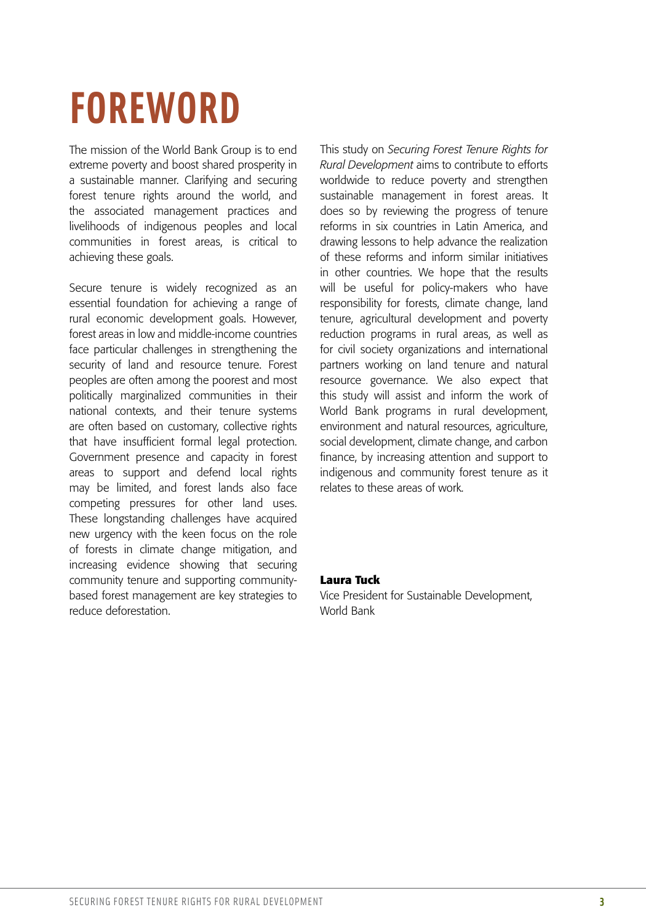### **FOREWORD**

The mission of the World Bank Group is to end extreme poverty and boost shared prosperity in a sustainable manner. Clarifying and securing forest tenure rights around the world, and the associated management practices and livelihoods of indigenous peoples and local communities in forest areas, is critical to achieving these goals.

Secure tenure is widely recognized as an essential foundation for achieving a range of rural economic development goals. However, forest areas in low and middle-income countries face particular challenges in strengthening the security of land and resource tenure. Forest peoples are often among the poorest and most politically marginalized communities in their national contexts, and their tenure systems are often based on customary, collective rights that have insufficient formal legal protection. Government presence and capacity in forest areas to support and defend local rights may be limited, and forest lands also face competing pressures for other land uses. These longstanding challenges have acquired new urgency with the keen focus on the role of forests in climate change mitigation, and increasing evidence showing that securing community tenure and supporting communitybased forest management are key strategies to reduce deforestation.

This study on *Securing Forest Tenure Rights for Rural Development* aims to contribute to efforts worldwide to reduce poverty and strengthen sustainable management in forest areas. It does so by reviewing the progress of tenure reforms in six countries in Latin America, and drawing lessons to help advance the realization of these reforms and inform similar initiatives in other countries. We hope that the results will be useful for policy-makers who have responsibility for forests, climate change, land tenure, agricultural development and poverty reduction programs in rural areas, as well as for civil society organizations and international partners working on land tenure and natural resource governance. We also expect that this study will assist and inform the work of World Bank programs in rural development, environment and natural resources, agriculture, social development, climate change, and carbon finance, by increasing attention and support to indigenous and community forest tenure as it relates to these areas of work.

#### **Laura Tuck**

Vice President for Sustainable Development, World Bank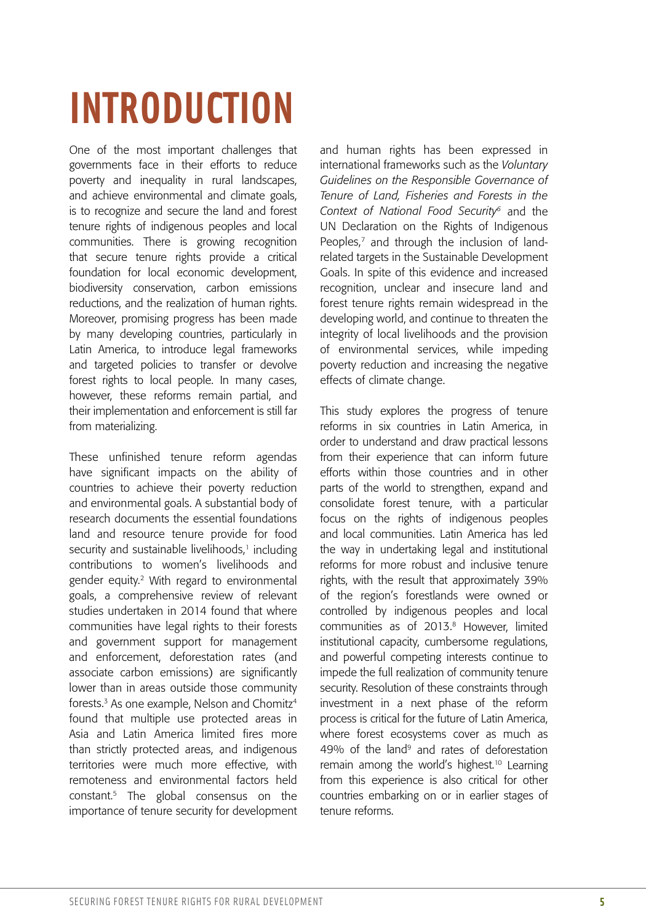# **INTRODUCTION**

One of the most important challenges that governments face in their efforts to reduce poverty and inequality in rural landscapes, and achieve environmental and climate goals, is to recognize and secure the land and forest tenure rights of indigenous peoples and local communities. There is growing recognition that secure tenure rights provide a critical foundation for local economic development, biodiversity conservation, carbon emissions reductions, and the realization of human rights. Moreover, promising progress has been made by many developing countries, particularly in Latin America, to introduce legal frameworks and targeted policies to transfer or devolve forest rights to local people. In many cases, however, these reforms remain partial, and their implementation and enforcement is still far from materializing.

These unfinished tenure reform agendas have significant impacts on the ability of countries to achieve their poverty reduction and environmental goals. A substantial body of research documents the essential foundations land and resource tenure provide for food security and sustainable livelihoods,<sup>1</sup> including contributions to women's livelihoods and gender equity.2 With regard to environmental goals, a comprehensive review of relevant studies undertaken in 2014 found that where communities have legal rights to their forests and government support for management and enforcement, deforestation rates (and associate carbon emissions) are significantly lower than in areas outside those community forests.<sup>3</sup> As one example, Nelson and Chomitz<sup>4</sup> found that multiple use protected areas in Asia and Latin America limited fires more than strictly protected areas, and indigenous territories were much more effective, with remoteness and environmental factors held constant.5 The global consensus on the importance of tenure security for development

and human rights has been expressed in international frameworks such as the *Voluntary Guidelines on the Responsible Governance of Tenure of Land, Fisheries and Forests in the Context of National Food Security6* and the UN Declaration on the Rights of Indigenous Peoples,<sup>7</sup> and through the inclusion of landrelated targets in the Sustainable Development Goals. In spite of this evidence and increased recognition, unclear and insecure land and forest tenure rights remain widespread in the developing world, and continue to threaten the integrity of local livelihoods and the provision of environmental services, while impeding poverty reduction and increasing the negative effects of climate change.

This study explores the progress of tenure reforms in six countries in Latin America, in order to understand and draw practical lessons from their experience that can inform future efforts within those countries and in other parts of the world to strengthen, expand and consolidate forest tenure, with a particular focus on the rights of indigenous peoples and local communities. Latin America has led the way in undertaking legal and institutional reforms for more robust and inclusive tenure rights, with the result that approximately 39% of the region's forestlands were owned or controlled by indigenous peoples and local communities as of 2013.<sup>8</sup> However, limited institutional capacity, cumbersome regulations, and powerful competing interests continue to impede the full realization of community tenure security. Resolution of these constraints through investment in a next phase of the reform process is critical for the future of Latin America, where forest ecosystems cover as much as 49% of the land<sup>9</sup> and rates of deforestation remain among the world's highest.<sup>10</sup> Learning from this experience is also critical for other countries embarking on or in earlier stages of tenure reforms.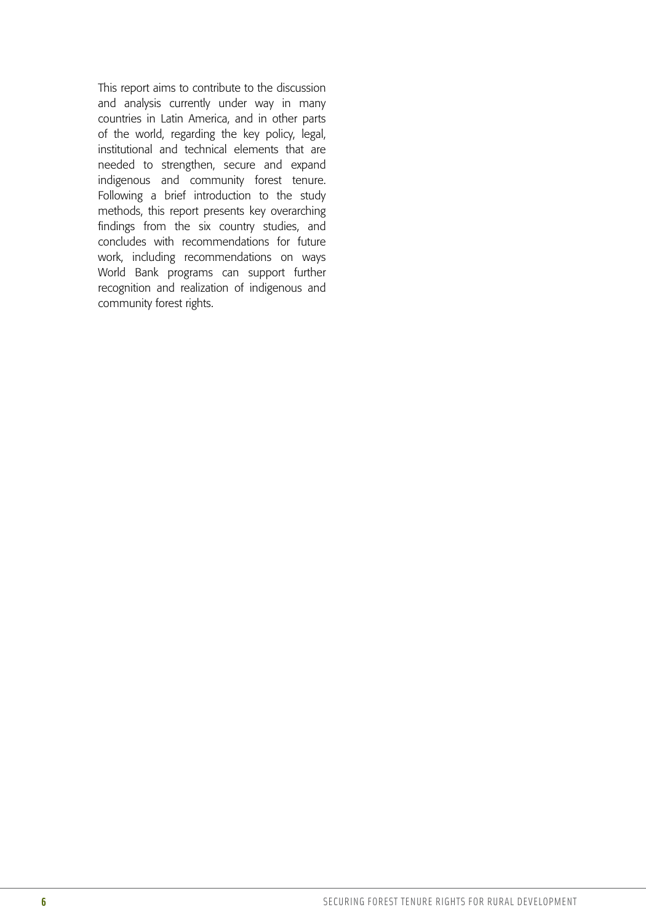This report aims to contribute to the discussion and analysis currently under way in many countries in Latin America, and in other parts of the world, regarding the key policy, legal, institutional and technical elements that are needed to strengthen, secure and expand indigenous and community forest tenure. Following a brief introduction to the study methods, this report presents key overarching findings from the six country studies, and concludes with recommendations for future work, including recommendations on ways World Bank programs can support further recognition and realization of indigenous and community forest rights.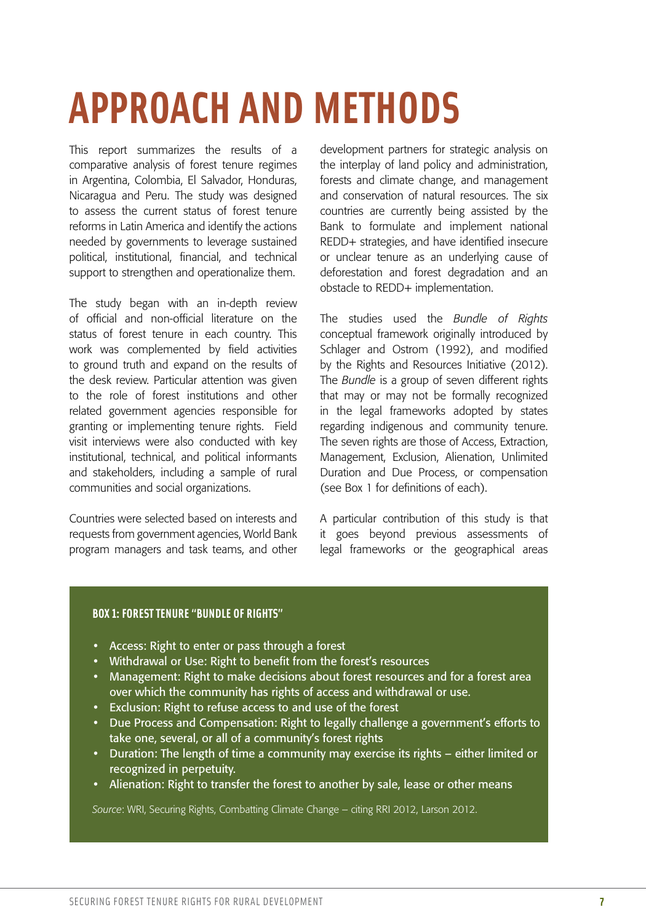## **APPROACH AND METHODS**

This report summarizes the results of a comparative analysis of forest tenure regimes in Argentina, Colombia, El Salvador, Honduras, Nicaragua and Peru. The study was designed to assess the current status of forest tenure reforms in Latin America and identify the actions needed by governments to leverage sustained political, institutional, financial, and technical support to strengthen and operationalize them.

The study began with an in-depth review of official and non-official literature on the status of forest tenure in each country. This work was complemented by field activities to ground truth and expand on the results of the desk review. Particular attention was given to the role of forest institutions and other related government agencies responsible for granting or implementing tenure rights. Field visit interviews were also conducted with key institutional, technical, and political informants and stakeholders, including a sample of rural communities and social organizations.

Countries were selected based on interests and requests from government agencies, World Bank program managers and task teams, and other development partners for strategic analysis on the interplay of land policy and administration, forests and climate change, and management and conservation of natural resources. The six countries are currently being assisted by the Bank to formulate and implement national REDD+ strategies, and have identified insecure or unclear tenure as an underlying cause of deforestation and forest degradation and an obstacle to REDD+ implementation.

The studies used the *Bundle of Rights* conceptual framework originally introduced by Schlager and Ostrom (1992), and modified by the Rights and Resources Initiative (2012). The *Bundle* is a group of seven different rights that may or may not be formally recognized in the legal frameworks adopted by states regarding indigenous and community tenure. The seven rights are those of Access, Extraction, Management, Exclusion, Alienation, Unlimited Duration and Due Process, or compensation (see Box 1 for definitions of each).

A particular contribution of this study is that it goes beyond previous assessments of legal frameworks or the geographical areas

#### **BOX 1: FOREST TENURE "BUNDLE OF RIGHTS"**

- Access: Right to enter or pass through a forest
- Withdrawal or Use: Right to benefit from the forest's resources
- Management: Right to make decisions about forest resources and for a forest area over which the community has rights of access and withdrawal or use.
- Exclusion: Right to refuse access to and use of the forest
- Due Process and Compensation: Right to legally challenge a government's efforts to take one, several, or all of a community's forest rights
- Duration: The length of time a community may exercise its rights either limited or recognized in perpetuity.
- Alienation: Right to transfer the forest to another by sale, lease or other means

*Source*: WRI, Securing Rights, Combatting Climate Change – citing RRI 2012, Larson 2012.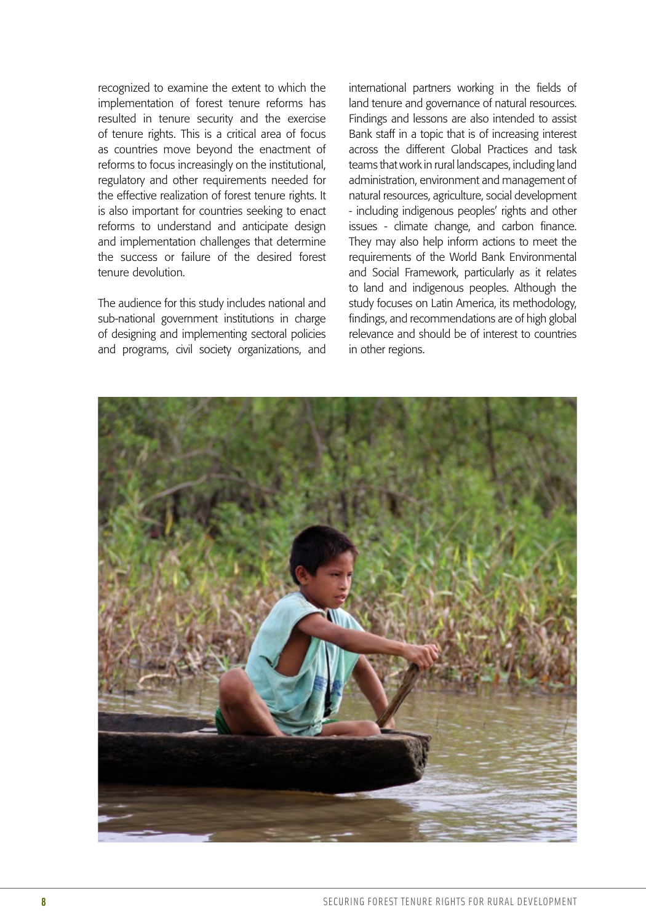recognized to examine the extent to which the implementation of forest tenure reforms has resulted in tenure security and the exercise of tenure rights. This is a critical area of focus as countries move beyond the enactment of reforms to focus increasingly on the institutional, regulatory and other requirements needed for the effective realization of forest tenure rights. It is also important for countries seeking to enact reforms to understand and anticipate design and implementation challenges that determine the success or failure of the desired forest tenure devolution.

The audience for this study includes national and sub-national government institutions in charge of designing and implementing sectoral policies and programs, civil society organizations, and international partners working in the fields of land tenure and governance of natural resources. Findings and lessons are also intended to assist Bank staff in a topic that is of increasing interest across the different Global Practices and task teams that work in rural landscapes, including land administration, environment and management of natural resources, agriculture, social development - including indigenous peoples' rights and other issues - climate change, and carbon finance. They may also help inform actions to meet the requirements of the World Bank Environmental and Social Framework, particularly as it relates to land and indigenous peoples. Although the study focuses on Latin America, its methodology, findings, and recommendations are of high global relevance and should be of interest to countries in other regions.

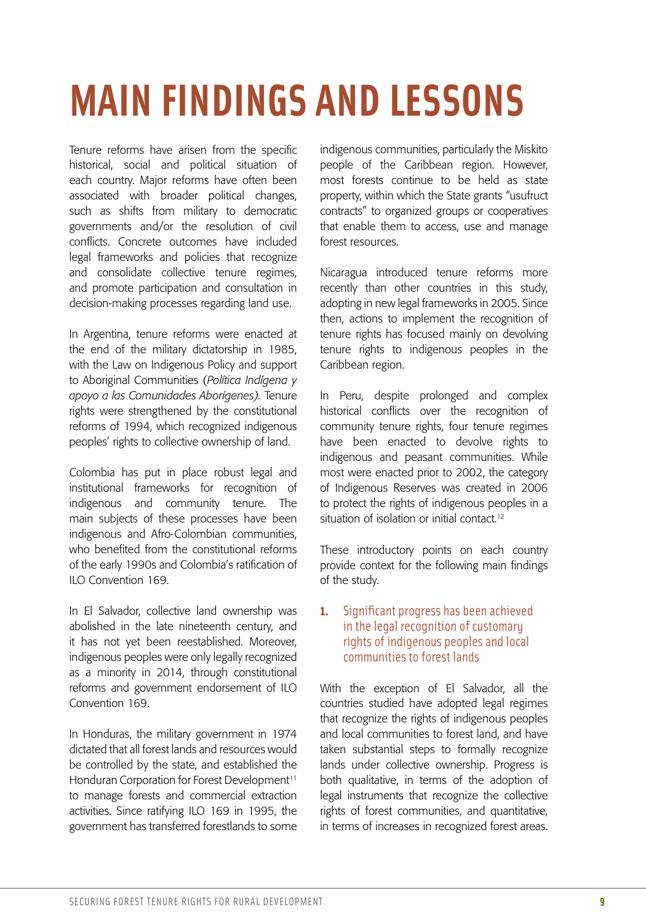# **MAIN FINDINGS AND LESSONS**

Tenure reforms have arisen from the specific historical, social and political situation of each country. Major reforms have often been associated with broader political changes, such as shifts from military to democratic governments and/or the resolution of civil conflicts. Concrete outcomes have included legal frameworks and policies that recognize and consolidate collective tenure regimes, and promote participation and consultation in decision-making processes regarding land use.

In Argentina, tenure reforms were enacted at the end of the military dictatorship in 1985, with the Law on Indigenous Policy and support to Aboriginal Communities (*Política Indígena y apoyo a las Comunidades Aborígenes).* Tenure rights were strengthened by the constitutional reforms of 1994, which recognized indigenous peoples' rights to collective ownership of land.

Colombia has put in place robust legal and institutional frameworks for recognition of indigenous and community tenure. The main subjects of these processes have been indigenous and Afro-Colombian communities, who benefited from the constitutional reforms of the early 1990s and Colombia's ratification of ILO Convention 169.

In El Salvador, collective land ownership was abolished in the late nineteenth century, and it has not yet been reestablished. Moreover, indigenous peoples were only legally recognized as a minority in 2014, through constitutional reforms and government endorsement of ILO Convention 169.

In Honduras, the military government in 1974 dictated that all forest lands and resources would be controlled by the state, and established the Honduran Corporation for Forest Development<sup>11</sup> to manage forests and commercial extraction activities. Since ratifying ILO 169 in 1995, the government has transferred forestlands to some indigenous communities, particularly the Miskito people of the Caribbean region. However, most forests continue to be held as state property, within which the State grants "usufruct contracts" to organized groups or cooperatives that enable them to access, use and manage forest resources.

Nicaragua introduced tenure reforms more recently than other countries in this study, adopting in new legal frameworks in 2005. Since then, actions to implement the recognition of tenure rights has focused mainly on devolving tenure rights to indigenous peoples in the Caribbean region.

In Peru, despite prolonged and complex historical conflicts over the recognition of community tenure rights, four tenure regimes have been enacted to devolve rights to indigenous and peasant communities. While most were enacted prior to 2002, the category of Indigenous Reserves was created in 2006 to protect the rights of indigenous peoples in a situation of isolation or initial contact.<sup>12</sup>

These introductory points on each country provide context for the following main findings of the study.

#### **1.** Significant progress has been achieved in the legal recognition of customary rights of indigenous peoples and local communities to forest lands

With the exception of El Salvador, all the countries studied have adopted legal regimes that recognize the rights of indigenous peoples and local communities to forest land, and have taken substantial steps to formally recognize lands under collective ownership. Progress is both qualitative, in terms of the adoption of legal instruments that recognize the collective rights of forest communities, and quantitative, in terms of increases in recognized forest areas.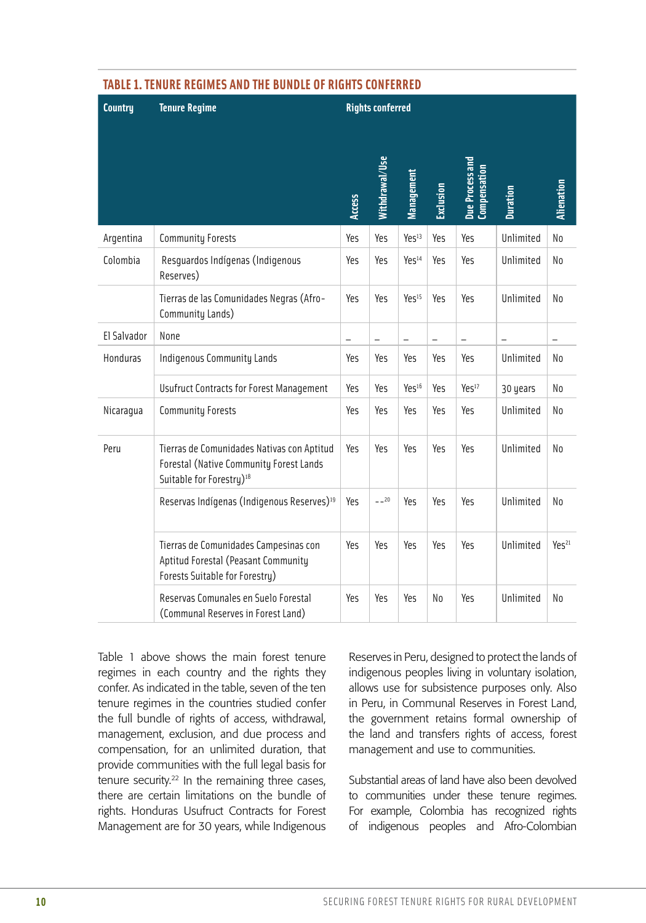| <b>Country</b> | <b>Tenure Regime</b>                                                                                                          | <b>Rights conferred</b> |                |                          |           |                                        |                 |                   |
|----------------|-------------------------------------------------------------------------------------------------------------------------------|-------------------------|----------------|--------------------------|-----------|----------------------------------------|-----------------|-------------------|
|                |                                                                                                                               | <b>Access</b>           | Nithdrawal/Use | Management               | Exclusion | Due Process and<br><b>Compensation</b> | <b>Duration</b> | <b>Alienation</b> |
| Argentina      | <b>Community Forests</b>                                                                                                      | Yes                     | Yes            | Yes <sup>13</sup>        | Yes       | Yes                                    | Unlimited       | No                |
| Colombia       | Resguardos Indígenas (Indigenous<br>Reserves)                                                                                 | Yes                     | Yes            | Yes <sup>14</sup>        | Yes       | Yes                                    | Unlimited       | No                |
|                | Tierras de las Comunidades Negras (Afro-<br>Community Lands)                                                                  | Yes                     | Yes            | Yes <sup>15</sup>        | Yes       | Yes                                    | Unlimited       | No                |
| El Salvador    | None                                                                                                                          | ÷                       | $\equiv$       | $\overline{\phantom{0}}$ | $\equiv$  | L,                                     | L,              | $\equiv$          |
| Honduras       | <b>Indigenous Community Lands</b>                                                                                             | Yes                     | Yes            | Yes                      | Yes       | Yes                                    | Unlimited       | No                |
|                | <b>Usufruct Contracts for Forest Management</b>                                                                               | Yes                     | Yes            | Yes <sup>16</sup>        | Yes       | Yes <sup>17</sup>                      | 30 years        | No                |
| Nicaragua      | <b>Community Forests</b>                                                                                                      | Yes                     | Yes            | Yes                      | Yes       | Yes                                    | Unlimited       | No                |
| Peru           | Tierras de Comunidades Nativas con Aptitud<br>Forestal (Native Community Forest Lands<br>Suitable for Forestry) <sup>18</sup> | Yes                     | Yes            | Yes                      | Yes       | Yes                                    | Unlimited       | No                |
|                | Reservas Indígenas (Indigenous Reserves) <sup>19</sup>                                                                        | Yes                     | $-20$          | Yes                      | Yes       | Yes                                    | Unlimited       | N <sub>0</sub>    |
|                | Tierras de Comunidades Campesinas con<br>Aptitud Forestal (Peasant Community<br>Forests Suitable for Forestry)                | Yes                     | Yes            | Yes                      | Yes       | Yes                                    | Unlimited       | Yes <sup>21</sup> |
|                | Reservas Comunales en Suelo Forestal<br>(Communal Reserves in Forest Land)                                                    | Yes                     | Yes            | Yes                      | No        | Yes                                    | Unlimited       | No                |

#### **TABLE 1. TENURE REGIMES AND THE BUNDLE OF RIGHTS CONFERRED**

Table 1 above shows the main forest tenure regimes in each country and the rights they confer. As indicated in the table, seven of the ten tenure regimes in the countries studied confer the full bundle of rights of access, withdrawal, management, exclusion, and due process and compensation, for an unlimited duration, that provide communities with the full legal basis for tenure security.<sup>22</sup> In the remaining three cases, there are certain limitations on the bundle of rights. Honduras Usufruct Contracts for Forest Management are for 30 years, while Indigenous

Reserves in Peru, designed to protect the lands of indigenous peoples living in voluntary isolation, allows use for subsistence purposes only. Also in Peru, in Communal Reserves in Forest Land, the government retains formal ownership of the land and transfers rights of access, forest management and use to communities.

Substantial areas of land have also been devolved to communities under these tenure regimes. For example, Colombia has recognized rights of indigenous peoples and Afro-Colombian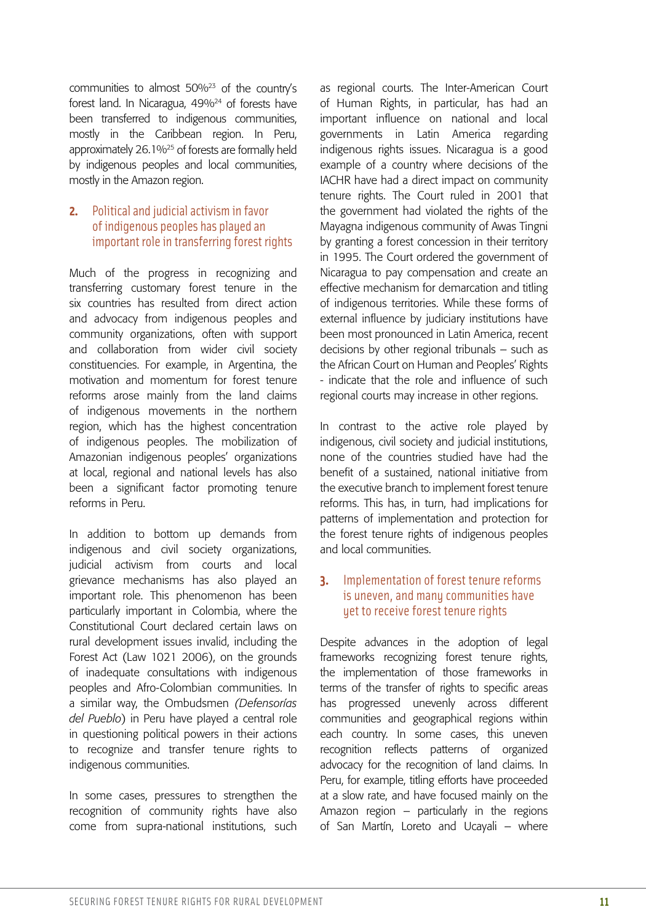communities to almost 50%23 of the country's forest land. In Nicaragua, 49%<sup>24</sup> of forests have been transferred to indigenous communities, mostly in the Caribbean region. In Peru, approximately 26.1%<sup>25</sup> of forests are formally held by indigenous peoples and local communities, mostly in the Amazon region.

#### **2.** Political and judicial activism in favor of indigenous peoples has played an important role in transferring forest rights

Much of the progress in recognizing and transferring customary forest tenure in the six countries has resulted from direct action and advocacy from indigenous peoples and community organizations, often with support and collaboration from wider civil society constituencies. For example, in Argentina, the motivation and momentum for forest tenure reforms arose mainly from the land claims of indigenous movements in the northern region, which has the highest concentration of indigenous peoples. The mobilization of Amazonian indigenous peoples' organizations at local, regional and national levels has also been a significant factor promoting tenure reforms in Peru.

In addition to bottom up demands from indigenous and civil society organizations, judicial activism from courts and local grievance mechanisms has also played an important role. This phenomenon has been particularly important in Colombia, where the Constitutional Court declared certain laws on rural development issues invalid, including the Forest Act (Law 1021 2006), on the grounds of inadequate consultations with indigenous peoples and Afro-Colombian communities. In a similar way, the Ombudsmen *(Defensorías del Pueblo*) in Peru have played a central role in questioning political powers in their actions to recognize and transfer tenure rights to indigenous communities.

In some cases, pressures to strengthen the recognition of community rights have also come from supra-national institutions, such

as regional courts. The Inter-American Court of Human Rights, in particular, has had an important influence on national and local governments in Latin America regarding indigenous rights issues. Nicaragua is a good example of a country where decisions of the IACHR have had a direct impact on community tenure rights. The Court ruled in 2001 that the government had violated the rights of the Mayagna indigenous community of Awas Tingni by granting a forest concession in their territory in 1995. The Court ordered the government of Nicaragua to pay compensation and create an effective mechanism for demarcation and titling of indigenous territories. While these forms of external influence by judiciary institutions have been most pronounced in Latin America, recent decisions by other regional tribunals – such as the African Court on Human and Peoples' Rights - indicate that the role and influence of such regional courts may increase in other regions.

In contrast to the active role played by indigenous, civil society and judicial institutions, none of the countries studied have had the benefit of a sustained, national initiative from the executive branch to implement forest tenure reforms. This has, in turn, had implications for patterns of implementation and protection for the forest tenure rights of indigenous peoples and local communities.

#### **3.** Implementation of forest tenure reforms is uneven, and many communities have yet to receive forest tenure rights

Despite advances in the adoption of legal frameworks recognizing forest tenure rights, the implementation of those frameworks in terms of the transfer of rights to specific areas has progressed unevenly across different communities and geographical regions within each country. In some cases, this uneven recognition reflects patterns of organized advocacy for the recognition of land claims. In Peru, for example, titling efforts have proceeded at a slow rate, and have focused mainly on the Amazon region – particularly in the regions of San Martín, Loreto and Ucayali – where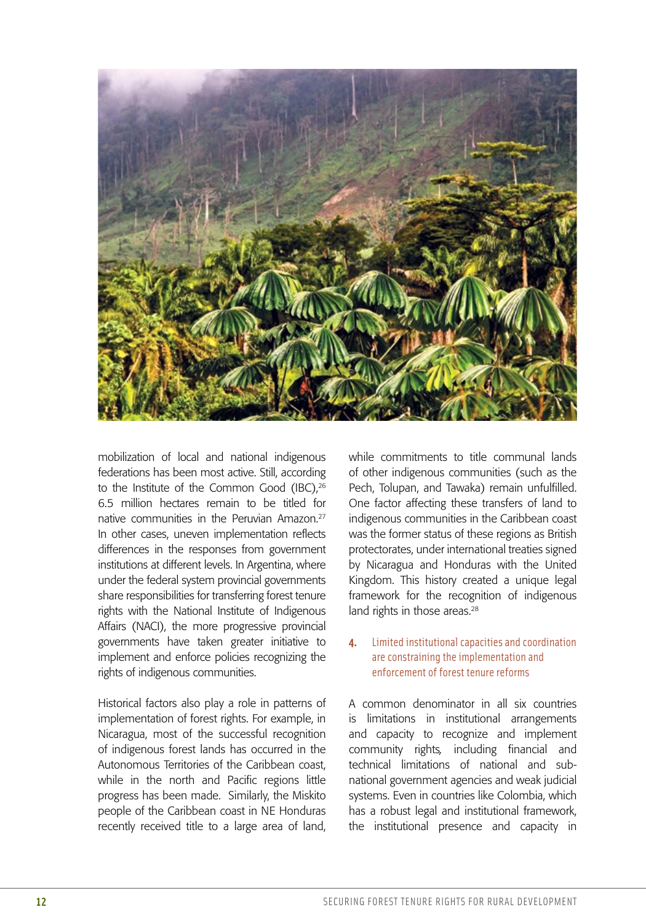

mobilization of local and national indigenous federations has been most active. Still, according to the Institute of the Common Good (IBC).<sup>26</sup> 6.5 million hectares remain to be titled for native communities in the Peruvian Amazon.27 In other cases, uneven implementation reflects differences in the responses from government institutions at different levels. In Argentina, where under the federal system provincial governments share responsibilities for transferring forest tenure rights with the National Institute of Indigenous Affairs (NACI), the more progressive provincial governments have taken greater initiative to implement and enforce policies recognizing the rights of indigenous communities.

Historical factors also play a role in patterns of implementation of forest rights. For example, in Nicaragua, most of the successful recognition of indigenous forest lands has occurred in the Autonomous Territories of the Caribbean coast, while in the north and Pacific regions little progress has been made. Similarly, the Miskito people of the Caribbean coast in NE Honduras recently received title to a large area of land, while commitments to title communal lands of other indigenous communities (such as the Pech, Tolupan, and Tawaka) remain unfulfilled. One factor affecting these transfers of land to indigenous communities in the Caribbean coast was the former status of these regions as British protectorates, under international treaties signed by Nicaragua and Honduras with the United Kingdom. This history created a unique legal framework for the recognition of indigenous land rights in those areas.<sup>28</sup>

#### **4.** Limited institutional capacities and coordination are constraining the implementation and enforcement of forest tenure reforms

A common denominator in all six countries is limitations in institutional arrangements and capacity to recognize and implement community rights*,* including financial and technical limitations of national and subnational government agencies and weak judicial systems. Even in countries like Colombia, which has a robust legal and institutional framework, the institutional presence and capacity in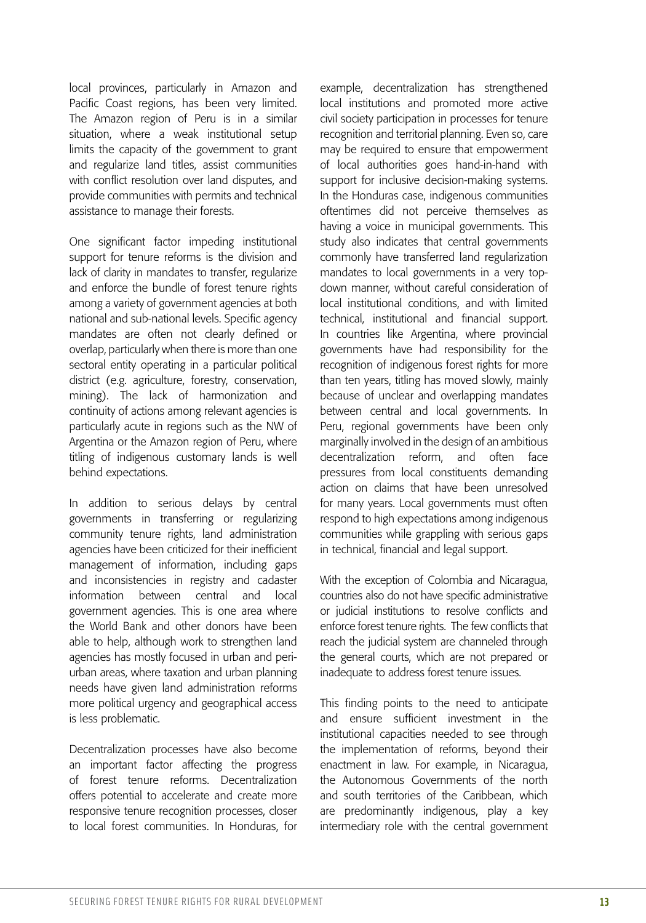local provinces, particularly in Amazon and Pacific Coast regions, has been very limited. The Amazon region of Peru is in a similar situation, where a weak institutional setup limits the capacity of the government to grant and regularize land titles, assist communities with conflict resolution over land disputes, and provide communities with permits and technical assistance to manage their forests.

One significant factor impeding institutional support for tenure reforms is the division and lack of clarity in mandates to transfer, regularize and enforce the bundle of forest tenure rights among a variety of government agencies at both national and sub-national levels. Specific agency mandates are often not clearly defined or overlap, particularly when there is more than one sectoral entity operating in a particular political district (e.g. agriculture, forestry, conservation, mining). The lack of harmonization and continuity of actions among relevant agencies is particularly acute in regions such as the NW of Argentina or the Amazon region of Peru, where titling of indigenous customary lands is well behind expectations.

In addition to serious delays by central governments in transferring or regularizing community tenure rights, land administration agencies have been criticized for their inefficient management of information, including gaps and inconsistencies in registry and cadaster information between central and local government agencies. This is one area where the World Bank and other donors have been able to help, although work to strengthen land agencies has mostly focused in urban and periurban areas, where taxation and urban planning needs have given land administration reforms more political urgency and geographical access is less problematic.

Decentralization processes have also become an important factor affecting the progress of forest tenure reforms. Decentralization offers potential to accelerate and create more responsive tenure recognition processes, closer to local forest communities. In Honduras, for example, decentralization has strengthened local institutions and promoted more active civil society participation in processes for tenure recognition and territorial planning. Even so, care may be required to ensure that empowerment of local authorities goes hand-in-hand with support for inclusive decision-making systems. In the Honduras case, indigenous communities oftentimes did not perceive themselves as having a voice in municipal governments. This study also indicates that central governments commonly have transferred land regularization mandates to local governments in a very topdown manner, without careful consideration of local institutional conditions, and with limited technical, institutional and financial support. In countries like Argentina, where provincial governments have had responsibility for the recognition of indigenous forest rights for more than ten years, titling has moved slowly, mainly because of unclear and overlapping mandates between central and local governments. In Peru, regional governments have been only marginally involved in the design of an ambitious decentralization reform, and often face pressures from local constituents demanding action on claims that have been unresolved for many years. Local governments must often respond to high expectations among indigenous communities while grappling with serious gaps in technical, financial and legal support.

With the exception of Colombia and Nicaragua, countries also do not have specific administrative or judicial institutions to resolve conflicts and enforce forest tenure rights. The few conflicts that reach the judicial system are channeled through the general courts, which are not prepared or inadequate to address forest tenure issues.

This finding points to the need to anticipate and ensure sufficient investment in the institutional capacities needed to see through the implementation of reforms, beyond their enactment in law. For example, in Nicaragua, the Autonomous Governments of the north and south territories of the Caribbean, which are predominantly indigenous, play a key intermediary role with the central government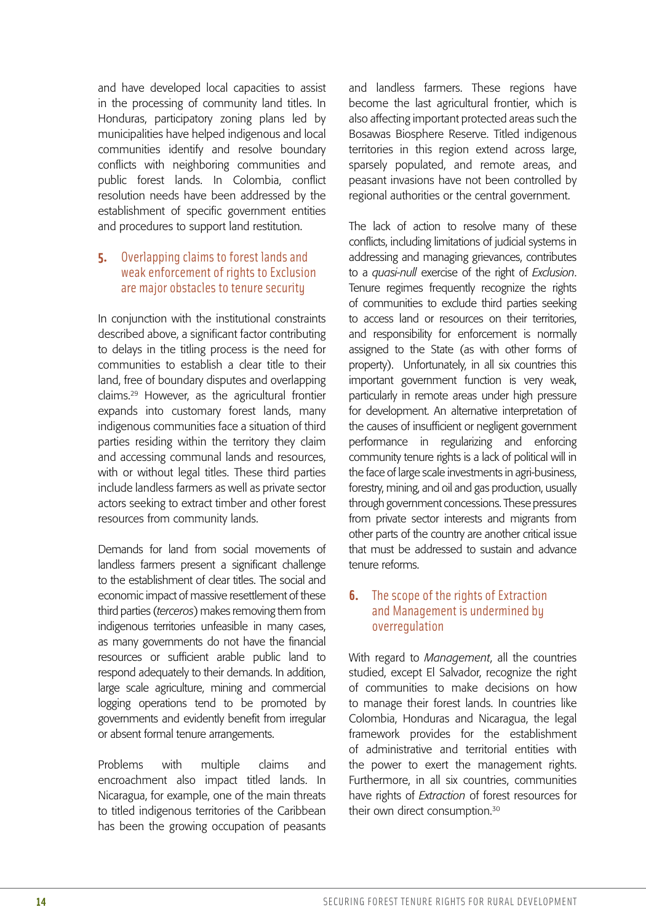and have developed local capacities to assist in the processing of community land titles. In Honduras, participatory zoning plans led by municipalities have helped indigenous and local communities identify and resolve boundary conflicts with neighboring communities and public forest lands. In Colombia, conflict resolution needs have been addressed by the establishment of specific government entities and procedures to support land restitution.

#### **5.** Overlapping claims to forest lands and weak enforcement of rights to Exclusion are major obstacles to tenure security

In conjunction with the institutional constraints described above, a significant factor contributing to delays in the titling process is the need for communities to establish a clear title to their land, free of boundary disputes and overlapping claims.29 However, as the agricultural frontier expands into customary forest lands, many indigenous communities face a situation of third parties residing within the territory they claim and accessing communal lands and resources, with or without legal titles. These third parties include landless farmers as well as private sector actors seeking to extract timber and other forest resources from community lands.

Demands for land from social movements of landless farmers present a significant challenge to the establishment of clear titles. The social and economic impact of massive resettlement of these third parties (*terceros*) makes removing them from indigenous territories unfeasible in many cases, as many governments do not have the financial resources or sufficient arable public land to respond adequately to their demands. In addition, large scale agriculture, mining and commercial logging operations tend to be promoted by governments and evidently benefit from irregular or absent formal tenure arrangements.

Problems with multiple claims and encroachment also impact titled lands. In Nicaragua, for example, one of the main threats to titled indigenous territories of the Caribbean has been the growing occupation of peasants and landless farmers. These regions have become the last agricultural frontier, which is also affecting important protected areas such the Bosawas Biosphere Reserve. Titled indigenous territories in this region extend across large, sparsely populated, and remote areas, and peasant invasions have not been controlled by regional authorities or the central government.

The lack of action to resolve many of these conflicts, including limitations of judicial systems in addressing and managing grievances, contributes to a *quasi-null* exercise of the right of *Exclusion*. Tenure regimes frequently recognize the rights of communities to exclude third parties seeking to access land or resources on their territories, and responsibility for enforcement is normally assigned to the State (as with other forms of property). Unfortunately, in all six countries this important government function is very weak, particularly in remote areas under high pressure for development. An alternative interpretation of the causes of insufficient or negligent government performance in regularizing and enforcing community tenure rights is a lack of political will in the face of large scale investments in agri-business, forestry, mining, and oil and gas production, usually through government concessions. These pressures from private sector interests and migrants from other parts of the country are another critical issue that must be addressed to sustain and advance tenure reforms.

#### **6.** The scope of the rights of Extraction and Management is undermined by overregulation

With regard to *Management*, all the countries studied, except El Salvador, recognize the right of communities to make decisions on how to manage their forest lands. In countries like Colombia, Honduras and Nicaragua, the legal framework provides for the establishment of administrative and territorial entities with the power to exert the management rights. Furthermore, in all six countries, communities have rights of *Extraction* of forest resources for their own direct consumption.<sup>30</sup>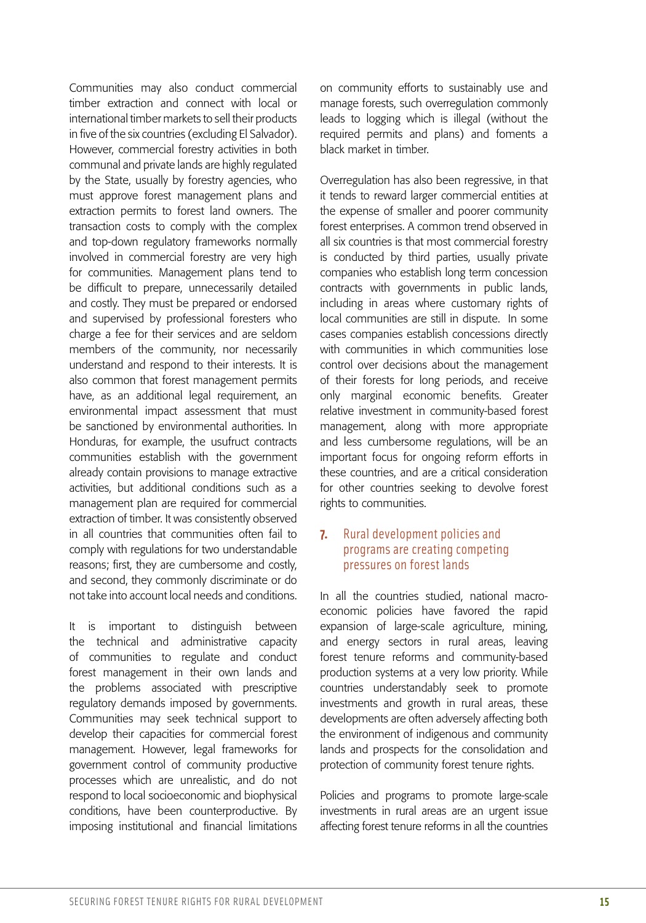Communities may also conduct commercial timber extraction and connect with local or international timber markets to sell their products in five of the six countries (excluding El Salvador). However, commercial forestry activities in both communal and private lands are highly regulated by the State, usually by forestry agencies, who must approve forest management plans and extraction permits to forest land owners. The transaction costs to comply with the complex and top-down regulatory frameworks normally involved in commercial forestry are very high for communities. Management plans tend to be difficult to prepare, unnecessarily detailed and costly. They must be prepared or endorsed and supervised by professional foresters who charge a fee for their services and are seldom members of the community, nor necessarily understand and respond to their interests. It is also common that forest management permits have, as an additional legal requirement, an environmental impact assessment that must be sanctioned by environmental authorities. In Honduras, for example, the usufruct contracts communities establish with the government already contain provisions to manage extractive activities, but additional conditions such as a management plan are required for commercial extraction of timber. It was consistently observed in all countries that communities often fail to comply with regulations for two understandable reasons; first, they are cumbersome and costly, and second, they commonly discriminate or do not take into account local needs and conditions.

It is important to distinguish between the technical and administrative capacity of communities to regulate and conduct forest management in their own lands and the problems associated with prescriptive regulatory demands imposed by governments. Communities may seek technical support to develop their capacities for commercial forest management. However, legal frameworks for government control of community productive processes which are unrealistic, and do not respond to local socioeconomic and biophysical conditions, have been counterproductive. By imposing institutional and financial limitations on community efforts to sustainably use and manage forests, such overregulation commonly leads to logging which is illegal (without the required permits and plans) and foments a black market in timber.

Overregulation has also been regressive, in that it tends to reward larger commercial entities at the expense of smaller and poorer community forest enterprises. A common trend observed in all six countries is that most commercial forestry is conducted by third parties, usually private companies who establish long term concession contracts with governments in public lands, including in areas where customary rights of local communities are still in dispute. In some cases companies establish concessions directly with communities in which communities lose control over decisions about the management of their forests for long periods, and receive only marginal economic benefits. Greater relative investment in community-based forest management, along with more appropriate and less cumbersome regulations, will be an important focus for ongoing reform efforts in these countries, and are a critical consideration for other countries seeking to devolve forest rights to communities.

#### **7.** Rural development policies and programs are creating competing pressures on forest lands

In all the countries studied, national macroeconomic policies have favored the rapid expansion of large-scale agriculture, mining, and energy sectors in rural areas, leaving forest tenure reforms and community-based production systems at a very low priority. While countries understandably seek to promote investments and growth in rural areas, these developments are often adversely affecting both the environment of indigenous and community lands and prospects for the consolidation and protection of community forest tenure rights.

Policies and programs to promote large-scale investments in rural areas are an urgent issue affecting forest tenure reforms in all the countries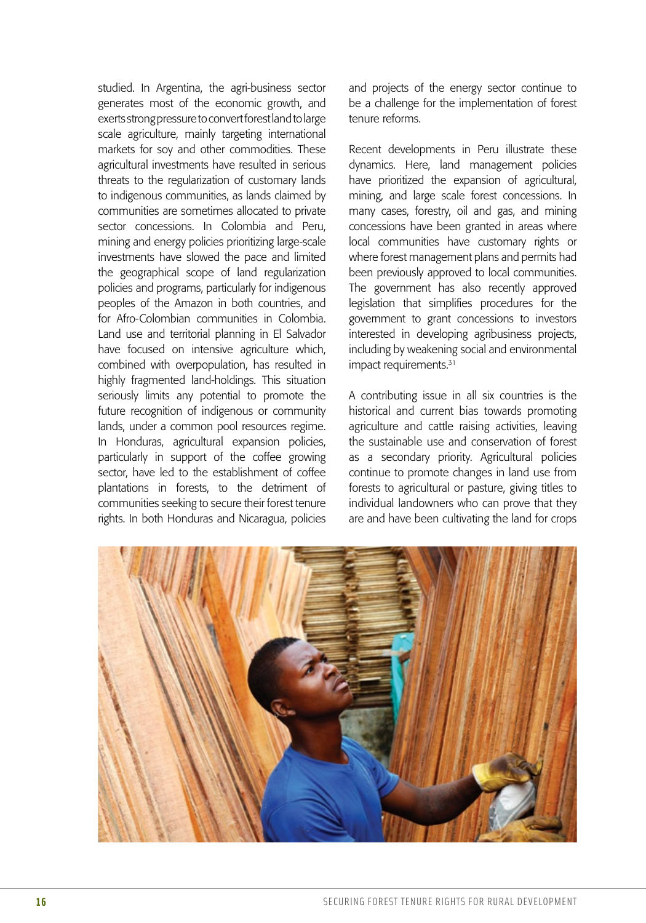studied. In Argentina, the agri-business sector generates most of the economic growth, and exerts strong pressure to convert forest land to large scale agriculture, mainly targeting international markets for soy and other commodities. These agricultural investments have resulted in serious threats to the regularization of customary lands to indigenous communities, as lands claimed by communities are sometimes allocated to private sector concessions. In Colombia and Peru, mining and energy policies prioritizing large-scale investments have slowed the pace and limited the geographical scope of land regularization policies and programs, particularly for indigenous peoples of the Amazon in both countries, and for Afro-Colombian communities in Colombia. Land use and territorial planning in El Salvador have focused on intensive agriculture which, combined with overpopulation, has resulted in highly fragmented land-holdings. This situation seriously limits any potential to promote the future recognition of indigenous or community lands, under a common pool resources regime. In Honduras, agricultural expansion policies, particularly in support of the coffee growing sector, have led to the establishment of coffee plantations in forests, to the detriment of communities seeking to secure their forest tenure rights. In both Honduras and Nicaragua, policies and projects of the energy sector continue to be a challenge for the implementation of forest tenure reforms.

Recent developments in Peru illustrate these dynamics. Here, land management policies have prioritized the expansion of agricultural, mining, and large scale forest concessions. In many cases, forestry, oil and gas, and mining concessions have been granted in areas where local communities have customary rights or where forest management plans and permits had been previously approved to local communities. The government has also recently approved legislation that simplifies procedures for the government to grant concessions to investors interested in developing agribusiness projects, including by weakening social and environmental impact requirements.<sup>31</sup>

A contributing issue in all six countries is the historical and current bias towards promoting agriculture and cattle raising activities, leaving the sustainable use and conservation of forest as a secondary priority. Agricultural policies continue to promote changes in land use from forests to agricultural or pasture, giving titles to individual landowners who can prove that they are and have been cultivating the land for crops

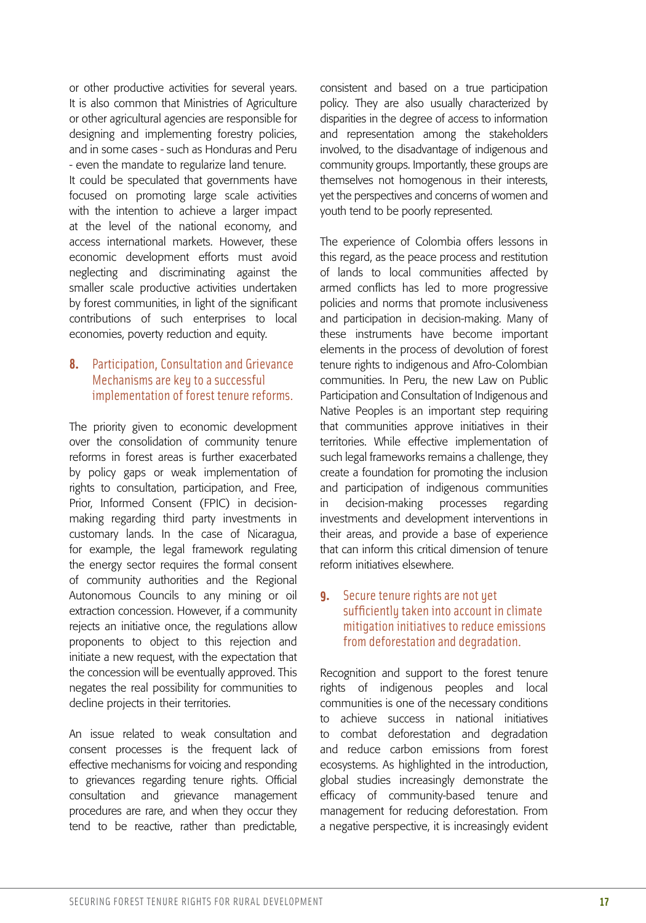or other productive activities for several years. It is also common that Ministries of Agriculture or other agricultural agencies are responsible for designing and implementing forestry policies, and in some cases - such as Honduras and Peru - even the mandate to regularize land tenure.

It could be speculated that governments have focused on promoting large scale activities with the intention to achieve a larger impact at the level of the national economy, and access international markets. However, these economic development efforts must avoid neglecting and discriminating against the smaller scale productive activities undertaken by forest communities, in light of the significant contributions of such enterprises to local economies, poverty reduction and equity.

#### **8.** Participation, Consultation and Grievance Mechanisms are key to a successful implementation of forest tenure reforms.

The priority given to economic development over the consolidation of community tenure reforms in forest areas is further exacerbated by policy gaps or weak implementation of rights to consultation, participation, and Free, Prior, Informed Consent (FPIC) in decisionmaking regarding third party investments in customary lands. In the case of Nicaragua, for example, the legal framework regulating the energy sector requires the formal consent of community authorities and the Regional Autonomous Councils to any mining or oil extraction concession. However, if a community rejects an initiative once, the regulations allow proponents to object to this rejection and initiate a new request, with the expectation that the concession will be eventually approved. This negates the real possibility for communities to decline projects in their territories.

An issue related to weak consultation and consent processes is the frequent lack of effective mechanisms for voicing and responding to grievances regarding tenure rights. Official consultation and grievance management procedures are rare, and when they occur they tend to be reactive, rather than predictable, consistent and based on a true participation policy. They are also usually characterized by disparities in the degree of access to information and representation among the stakeholders involved, to the disadvantage of indigenous and community groups. Importantly, these groups are themselves not homogenous in their interests, yet the perspectives and concerns of women and youth tend to be poorly represented.

The experience of Colombia offers lessons in this regard, as the peace process and restitution of lands to local communities affected by armed conflicts has led to more progressive policies and norms that promote inclusiveness and participation in decision-making. Many of these instruments have become important elements in the process of devolution of forest tenure rights to indigenous and Afro-Colombian communities. In Peru, the new Law on Public Participation and Consultation of Indigenous and Native Peoples is an important step requiring that communities approve initiatives in their territories. While effective implementation of such legal frameworks remains a challenge, they create a foundation for promoting the inclusion and participation of indigenous communities in decision-making processes regarding investments and development interventions in their areas, and provide a base of experience that can inform this critical dimension of tenure reform initiatives elsewhere.

#### **9.** Secure tenure rights are not yet sufficiently taken into account in climate mitigation initiatives to reduce emissions from deforestation and degradation.

Recognition and support to the forest tenure rights of indigenous peoples and local communities is one of the necessary conditions to achieve success in national initiatives to combat deforestation and degradation and reduce carbon emissions from forest ecosystems. As highlighted in the introduction, global studies increasingly demonstrate the efficacy of community-based tenure and management for reducing deforestation. From a negative perspective, it is increasingly evident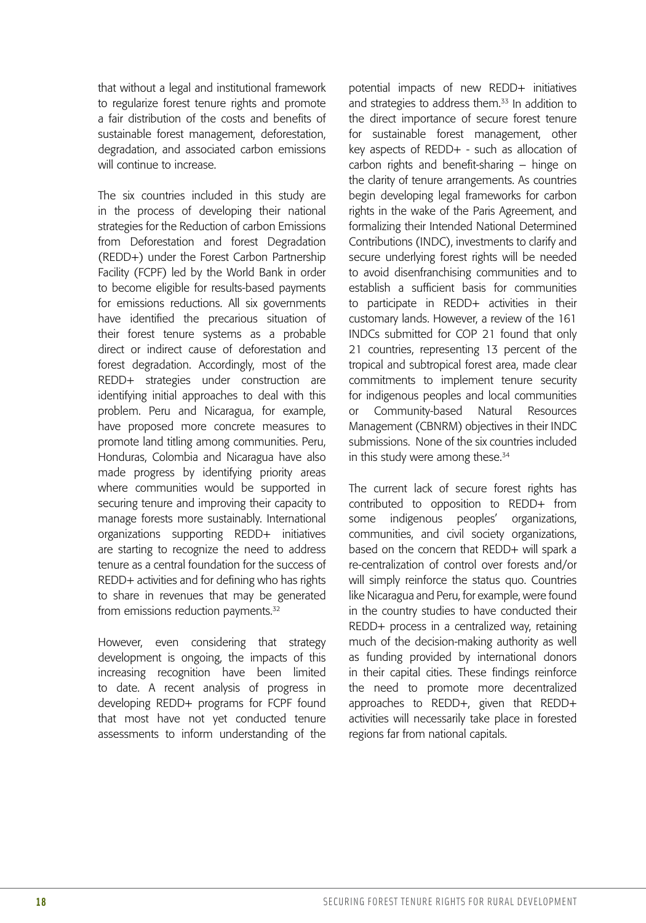that without a legal and institutional framework to regularize forest tenure rights and promote a fair distribution of the costs and benefits of sustainable forest management, deforestation, degradation, and associated carbon emissions will continue to increase.

The six countries included in this study are in the process of developing their national strategies for the Reduction of carbon Emissions from Deforestation and forest Degradation (REDD+) under the Forest Carbon Partnership Facility (FCPF) led by the World Bank in order to become eligible for results-based payments for emissions reductions. All six governments have identified the precarious situation of their forest tenure systems as a probable direct or indirect cause of deforestation and forest degradation. Accordingly, most of the REDD+ strategies under construction are identifying initial approaches to deal with this problem. Peru and Nicaragua, for example, have proposed more concrete measures to promote land titling among communities. Peru, Honduras, Colombia and Nicaragua have also made progress by identifying priority areas where communities would be supported in securing tenure and improving their capacity to manage forests more sustainably. International organizations supporting REDD+ initiatives are starting to recognize the need to address tenure as a central foundation for the success of REDD+ activities and for defining who has rights to share in revenues that may be generated from emissions reduction payments.<sup>32</sup>

However, even considering that strategy development is ongoing, the impacts of this increasing recognition have been limited to date. A recent analysis of progress in developing REDD+ programs for FCPF found that most have not yet conducted tenure assessments to inform understanding of the potential impacts of new REDD+ initiatives and strategies to address them.<sup>33</sup> In addition to the direct importance of secure forest tenure for sustainable forest management, other key aspects of REDD+ - such as allocation of carbon rights and benefit-sharing – hinge on the clarity of tenure arrangements. As countries begin developing legal frameworks for carbon rights in the wake of the Paris Agreement, and formalizing their Intended National Determined Contributions (INDC), investments to clarify and secure underlying forest rights will be needed to avoid disenfranchising communities and to establish a sufficient basis for communities to participate in REDD+ activities in their customary lands. However, a review of the 161 INDCs submitted for COP 21 found that only 21 countries, representing 13 percent of the tropical and subtropical forest area, made clear commitments to implement tenure security for indigenous peoples and local communities or Community-based Natural Resources Management (CBNRM) objectives in their INDC submissions. None of the six countries included in this study were among these.<sup>34</sup>

The current lack of secure forest rights has contributed to opposition to REDD+ from some indigenous peoples' organizations, communities, and civil society organizations, based on the concern that REDD+ will spark a re-centralization of control over forests and/or will simply reinforce the status quo. Countries like Nicaragua and Peru, for example, were found in the country studies to have conducted their REDD+ process in a centralized way, retaining much of the decision-making authority as well as funding provided by international donors in their capital cities. These findings reinforce the need to promote more decentralized approaches to REDD+, given that REDD+ activities will necessarily take place in forested regions far from national capitals.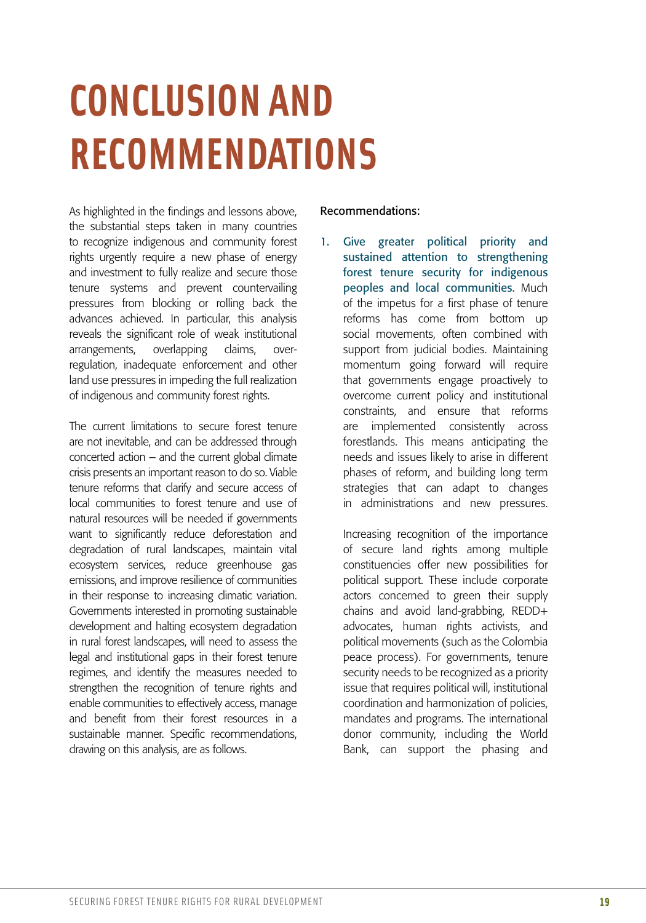# **CONCLUSION AND RECOMMENDATIONS**

As highlighted in the findings and lessons above, the substantial steps taken in many countries to recognize indigenous and community forest rights urgently require a new phase of energy and investment to fully realize and secure those tenure systems and prevent countervailing pressures from blocking or rolling back the advances achieved. In particular, this analysis reveals the significant role of weak institutional arrangements, overlapping claims, overregulation, inadequate enforcement and other land use pressures in impeding the full realization of indigenous and community forest rights.

The current limitations to secure forest tenure are not inevitable, and can be addressed through concerted action – and the current global climate crisis presents an important reason to do so. Viable tenure reforms that clarify and secure access of local communities to forest tenure and use of natural resources will be needed if governments want to significantly reduce deforestation and degradation of rural landscapes, maintain vital ecosystem services, reduce greenhouse gas emissions, and improve resilience of communities in their response to increasing climatic variation. Governments interested in promoting sustainable development and halting ecosystem degradation in rural forest landscapes, will need to assess the legal and institutional gaps in their forest tenure regimes, and identify the measures needed to strengthen the recognition of tenure rights and enable communities to effectively access, manage and benefit from their forest resources in a sustainable manner. Specific recommendations, drawing on this analysis, are as follows.

#### Recommendations:

1. Give greater political priority and sustained attention to strengthening forest tenure security for indigenous peoples and local communities. Much of the impetus for a first phase of tenure reforms has come from bottom up social movements, often combined with support from judicial bodies. Maintaining momentum going forward will require that governments engage proactively to overcome current policy and institutional constraints, and ensure that reforms are implemented consistently across forestlands. This means anticipating the needs and issues likely to arise in different phases of reform, and building long term strategies that can adapt to changes in administrations and new pressures.

Increasing recognition of the importance of secure land rights among multiple constituencies offer new possibilities for political support. These include corporate actors concerned to green their supply chains and avoid land-grabbing, REDD+ advocates, human rights activists, and political movements (such as the Colombia peace process). For governments, tenure security needs to be recognized as a priority issue that requires political will, institutional coordination and harmonization of policies, mandates and programs. The international donor community, including the World Bank, can support the phasing and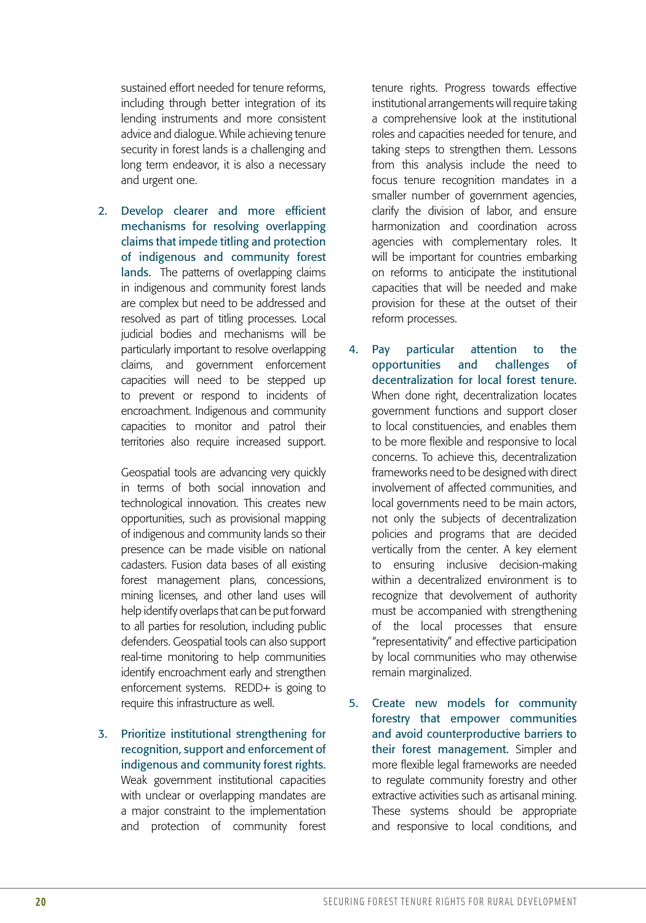sustained effort needed for tenure reforms, including through better integration of its lending instruments and more consistent advice and dialogue. While achieving tenure security in forest lands is a challenging and long term endeavor, it is also a necessary and urgent one.

2. Develop clearer and more efficient mechanisms for resolving overlapping claims that impede titling and protection of indigenous and community forest lands. The patterns of overlapping claims in indigenous and community forest lands are complex but need to be addressed and resolved as part of titling processes. Local judicial bodies and mechanisms will be particularly important to resolve overlapping claims, and government enforcement capacities will need to be stepped up to prevent or respond to incidents of encroachment. Indigenous and community capacities to monitor and patrol their territories also require increased support.

Geospatial tools are advancing very quickly in terms of both social innovation and technological innovation. This creates new opportunities, such as provisional mapping of indigenous and community lands so their presence can be made visible on national cadasters. Fusion data bases of all existing forest management plans, concessions, mining licenses, and other land uses will help identify overlaps that can be put forward to all parties for resolution, including public defenders. Geospatial tools can also support real-time monitoring to help communities identify encroachment early and strengthen enforcement systems. REDD+ is going to require this infrastructure as well.

3. Prioritize institutional strengthening for recognition, support and enforcement of indigenous and community forest rights. Weak government institutional capacities with unclear or overlapping mandates are a major constraint to the implementation and protection of community forest

tenure rights. Progress towards effective institutional arrangements will require taking a comprehensive look at the institutional roles and capacities needed for tenure, and taking steps to strengthen them. Lessons from this analysis include the need to focus tenure recognition mandates in a smaller number of government agencies, clarify the division of labor, and ensure harmonization and coordination across agencies with complementary roles. It will be important for countries embarking on reforms to anticipate the institutional capacities that will be needed and make provision for these at the outset of their reform processes.

- 4. Pay particular attention to the opportunities and challenges of decentralization for local forest tenure. When done right, decentralization locates government functions and support closer to local constituencies, and enables them to be more flexible and responsive to local concerns. To achieve this, decentralization frameworks need to be designed with direct involvement of affected communities, and local governments need to be main actors, not only the subjects of decentralization policies and programs that are decided vertically from the center. A key element to ensuring inclusive decision-making within a decentralized environment is to recognize that devolvement of authority must be accompanied with strengthening of the local processes that ensure "representativity" and effective participation by local communities who may otherwise remain marginalized.
- 5. Create new models for community forestry that empower communities and avoid counterproductive barriers to their forest management. Simpler and more flexible legal frameworks are needed to regulate community forestry and other extractive activities such as artisanal mining. These systems should be appropriate and responsive to local conditions, and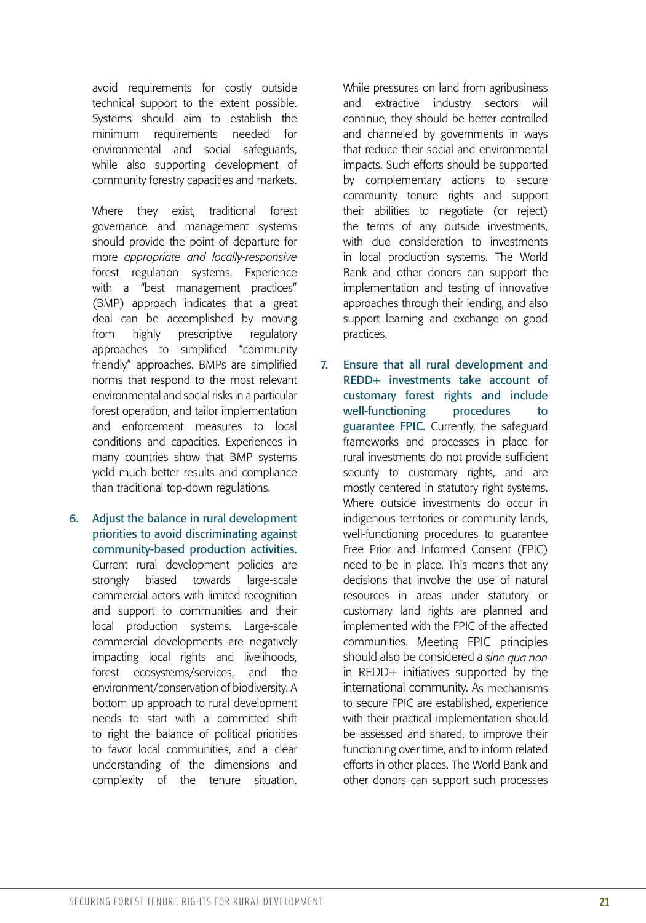avoid requirements for costly outside technical support to the extent possible. Systems should aim to establish the minimum requirements needed for environmental and social safeguards, while also supporting development of community forestry capacities and markets.

Where they exist, traditional forest governance and management systems should provide the point of departure for more *appropriate and locally-responsive*  forest regulation systems. Experience with a "best management practices" (BMP) approach indicates that a great deal can be accomplished by moving from highly prescriptive regulatory approaches to simplified "community friendly" approaches. BMPs are simplified norms that respond to the most relevant environmental and social risks in a particular forest operation, and tailor implementation and enforcement measures to local conditions and capacities. Experiences in many countries show that BMP systems yield much better results and compliance than traditional top-down regulations.

6. Adjust the balance in rural development priorities to avoid discriminating against community-based production activities. Current rural development policies are strongly biased towards large-scale commercial actors with limited recognition and support to communities and their local production systems. Large-scale commercial developments are negatively impacting local rights and livelihoods, forest ecosystems/services, and the environment/conservation of biodiversity. A bottom up approach to rural development needs to start with a committed shift to right the balance of political priorities to favor local communities, and a clear understanding of the dimensions and complexity of the tenure situation.

While pressures on land from agribusiness and extractive industry sectors will continue, they should be better controlled and channeled by governments in ways that reduce their social and environmental impacts. Such efforts should be supported by complementary actions to secure community tenure rights and support their abilities to negotiate (or reject) the terms of any outside investments, with due consideration to investments in local production systems. The World Bank and other donors can support the implementation and testing of innovative approaches through their lending, and also support learning and exchange on good practices.

7. Ensure that all rural development and REDD+ investments take account of customary forest rights and include well-functioning procedures to guarantee FPIC. Currently, the safeguard frameworks and processes in place for rural investments do not provide sufficient security to customary rights, and are mostly centered in statutory right systems. Where outside investments do occur in indigenous territories or community lands, well-functioning procedures to guarantee Free Prior and Informed Consent (FPIC) need to be in place. This means that any decisions that involve the use of natural resources in areas under statutory or customary land rights are planned and implemented with the FPIC of the affected communities. Meeting FPIC principles should also be considered a *sine qua non* in REDD+ initiatives supported by the international community. As mechanisms to secure FPIC are established, experience with their practical implementation should be assessed and shared, to improve their functioning over time, and to inform related efforts in other places. The World Bank and other donors can support such processes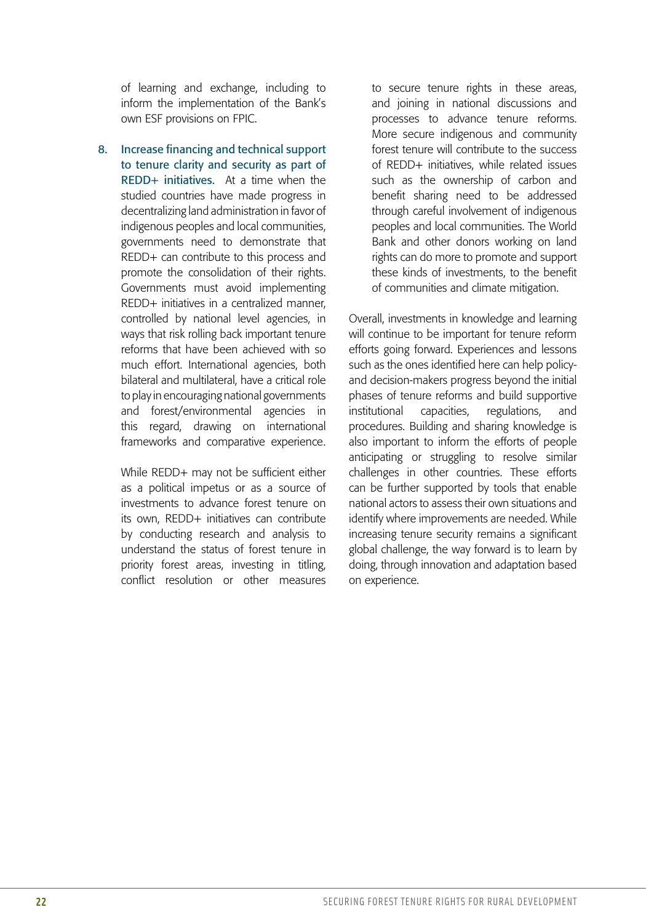of learning and exchange, including to inform the implementation of the Bank's own ESF provisions on FPIC.

8. Increase financing and technical support to tenure clarity and security as part of REDD+ initiatives. At a time when the studied countries have made progress in decentralizing land administration in favor of indigenous peoples and local communities, governments need to demonstrate that REDD+ can contribute to this process and promote the consolidation of their rights. Governments must avoid implementing REDD+ initiatives in a centralized manner, controlled by national level agencies, in ways that risk rolling back important tenure reforms that have been achieved with so much effort. International agencies, both bilateral and multilateral, have a critical role to play in encouraging national governments and forest/environmental agencies in this regard, drawing on international frameworks and comparative experience.

While REDD+ may not be sufficient either as a political impetus or as a source of investments to advance forest tenure on its own, REDD+ initiatives can contribute by conducting research and analysis to understand the status of forest tenure in priority forest areas, investing in titling, conflict resolution or other measures

to secure tenure rights in these areas, and joining in national discussions and processes to advance tenure reforms. More secure indigenous and community forest tenure will contribute to the success of REDD+ initiatives, while related issues such as the ownership of carbon and benefit sharing need to be addressed through careful involvement of indigenous peoples and local communities. The World Bank and other donors working on land rights can do more to promote and support these kinds of investments, to the benefit of communities and climate mitigation.

Overall, investments in knowledge and learning will continue to be important for tenure reform efforts going forward. Experiences and lessons such as the ones identified here can help policyand decision-makers progress beyond the initial phases of tenure reforms and build supportive institutional capacities, regulations, and procedures. Building and sharing knowledge is also important to inform the efforts of people anticipating or struggling to resolve similar challenges in other countries. These efforts can be further supported by tools that enable national actors to assess their own situations and identify where improvements are needed. While increasing tenure security remains a significant global challenge, the way forward is to learn by doing, through innovation and adaptation based on experience.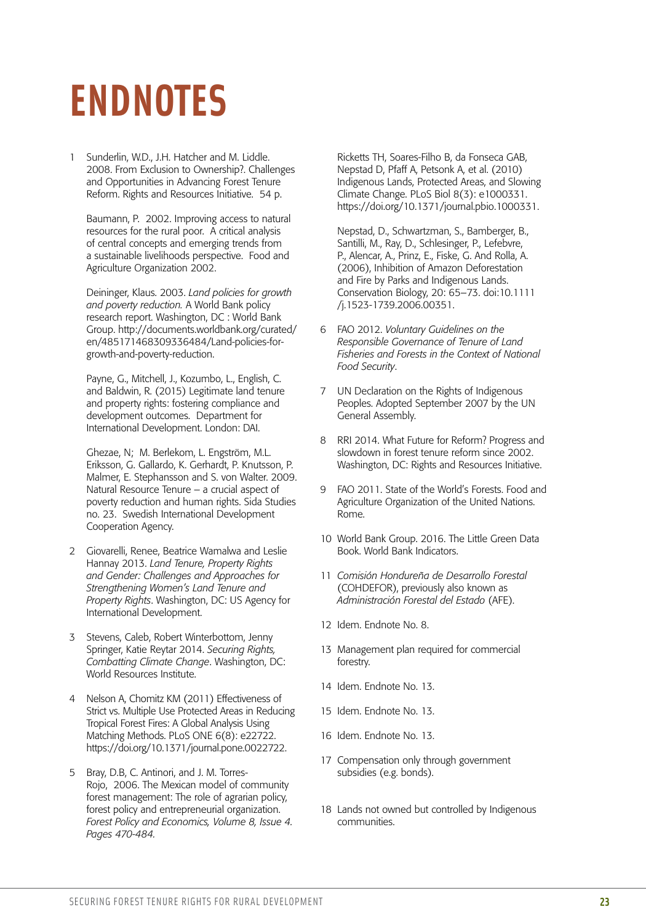### **ENDNOTES**

1 Sunderlin, W.D., J.H. Hatcher and M. Liddle. 2008. From Exclusion to Ownership?. Challenges and Opportunities in Advancing Forest Tenure Reform. Rights and Resources Initiative. 54 p.

Baumann, P. 2002. Improving access to natural resources for the rural poor. A critical analysis of central concepts and emerging trends from a sustainable livelihoods perspective. Food and Agriculture Organization 2002.

Deininger, Klaus. 2003. *Land policies for growth and poverty reduction.* A World Bank policy research report. Washington, DC : World Bank Group. http://documents.worldbank.org/curated/ en/485171468309336484/Land-policies-forgrowth-and-poverty-reduction.

Payne, G., Mitchell, J., Kozumbo, L., English, C. and Baldwin, R. (2015) Legitimate land tenure and property rights: fostering compliance and development outcomes. Department for International Development. London: DAI.

Ghezae, N; M. Berlekom, L. Engström, M.L. Eriksson, G. Gallardo, K. Gerhardt, P. Knutsson, P. Malmer, E. Stephansson and S. von Walter. 2009. Natural Resource Tenure – a crucial aspect of poverty reduction and human rights. Sida Studies no. 23. Swedish International Development Cooperation Agency.

- 2 Giovarelli, Renee, Beatrice Wamalwa and Leslie Hannay 2013. *Land Tenure, Property Rights and Gender: Challenges and Approaches for Strengthening Women's Land Tenure and Property Rights*. Washington, DC: US Agency for International Development.
- 3 Stevens, Caleb, Robert Winterbottom, Jenny Springer, Katie Reytar 2014. *Securing Rights, Combatting Climate Change*. Washington, DC: World Resources Institute.
- 4 Nelson A, Chomitz KM (2011) Effectiveness of Strict vs. Multiple Use Protected Areas in Reducing Tropical Forest Fires: A Global Analysis Using Matching Methods. PLoS ONE 6(8): e22722. https://doi.org/10.1371/journal.pone.0022722.
- 5 Bray, D.B, C. Antinori, and J. M. Torres-Rojo, 2006. The Mexican model of community forest management: The role of agrarian policy, forest policy and entrepreneurial organization. *Forest Policy and Economics, Volume 8, Issue 4. Pages 470-484.*

Ricketts TH, Soares-Filho B, da Fonseca GAB, Nepstad D, Pfaff A, Petsonk A, et al. (2010) Indigenous Lands, Protected Areas, and Slowing Climate Change. PLoS Biol 8(3): e1000331. https://doi.org/10.1371/journal.pbio.1000331.

Nepstad, D., Schwartzman, S., Bamberger, B., Santilli, M., Ray, D., Schlesinger, P., Lefebvre, P., Alencar, A., Prinz, E., Fiske, G. And Rolla, A. (2006), Inhibition of Amazon Deforestation and Fire by Parks and Indigenous Lands. Conservation Biology, 20: 65–73. doi:10.1111 /j.1523-1739.2006.00351.

- 6 FAO 2012. *Voluntary Guidelines on the Responsible Governance of Tenure of Land Fisheries and Forests in the Context of National Food Security*.
- 7 UN Declaration on the Rights of Indigenous Peoples. Adopted September 2007 by the UN General Assembly.
- 8 RRI 2014. What Future for Reform? Progress and slowdown in forest tenure reform since 2002. Washington, DC: Rights and Resources Initiative.
- 9 FAO 2011. State of the World's Forests. Food and Agriculture Organization of the United Nations. Rome.
- 10 World Bank Group. 2016. The Little Green Data Book. World Bank Indicators.
- 11 *Comisión Hondureña de Desarrollo Forestal* (COHDEFOR), previously also known as *Administración Forestal del Estado* (AFE).
- 12 Idem. Endnote No. 8.
- 13 Management plan required for commercial forestry.
- 14 Idem. Endnote No. 13.
- 15 Idem. Endnote No. 13.
- 16 Idem. Endnote No. 13.
- 17 Compensation only through government subsidies (e.g. bonds).
- 18 Lands not owned but controlled by Indigenous communities.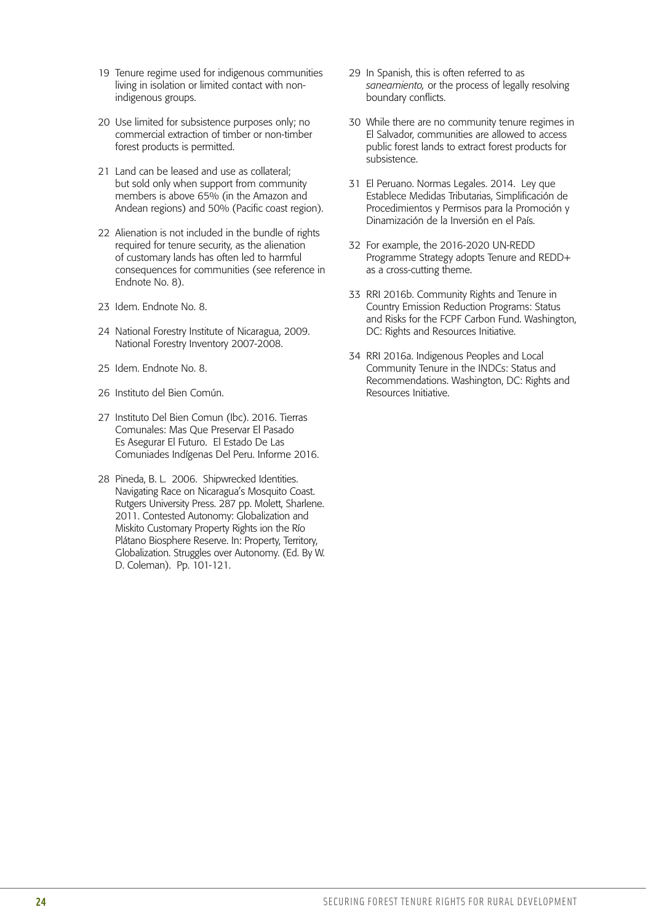- 19 Tenure regime used for indigenous communities living in isolation or limited contact with nonindigenous groups.
- 20 Use limited for subsistence purposes only; no commercial extraction of timber or non-timber forest products is permitted.
- 21 Land can be leased and use as collateral; but sold only when support from community members is above 65% (in the Amazon and Andean regions) and 50% (Pacific coast region).
- 22 Alienation is not included in the bundle of rights required for tenure security, as the alienation of customary lands has often led to harmful consequences for communities (see reference in Endnote No. 8).
- 23 Idem. Endnote No. 8.
- 24 National Forestry Institute of Nicaragua, 2009. National Forestry Inventory 2007-2008.
- 25 Idem. Endnote No. 8.
- 26 Instituto del Bien Común.
- 27 Instituto Del Bien Comun (Ibc). 2016. Tierras Comunales: Mas Que Preservar El Pasado Es Asegurar El Futuro. El Estado De Las Comuniades Indígenas Del Peru. Informe 2016.
- 28 Pineda, B. L. 2006. Shipwrecked Identities. Navigating Race on Nicaragua's Mosquito Coast. Rutgers University Press. 287 pp. Molett, Sharlene. 2011. Contested Autonomy: Globalization and Miskito Customary Property Rights ion the Río Plátano Biosphere Reserve. In: Property, Territory, Globalization. Struggles over Autonomy. (Ed. By W. D. Coleman). Pp. 101-121.
- 29 In Spanish, this is often referred to as *saneamiento,* or the process of legally resolving boundary conflicts.
- 30 While there are no community tenure regimes in El Salvador, communities are allowed to access public forest lands to extract forest products for subsistence.
- 31 El Peruano. Normas Legales. 2014. Ley que Establece Medidas Tributarias, Simplificación de Procedimientos y Permisos para la Promoción y Dinamización de la Inversión en el País.
- 32 For example, the 2016-2020 UN-REDD Programme Strategy adopts Tenure and REDD+ as a cross-cutting theme.
- 33 RRI 2016b. Community Rights and Tenure in Country Emission Reduction Programs: Status and Risks for the FCPF Carbon Fund. Washington, DC: Rights and Resources Initiative.
- 34 RRI 2016a. Indigenous Peoples and Local Community Tenure in the INDCs: Status and Recommendations. Washington, DC: Rights and Resources Initiative.